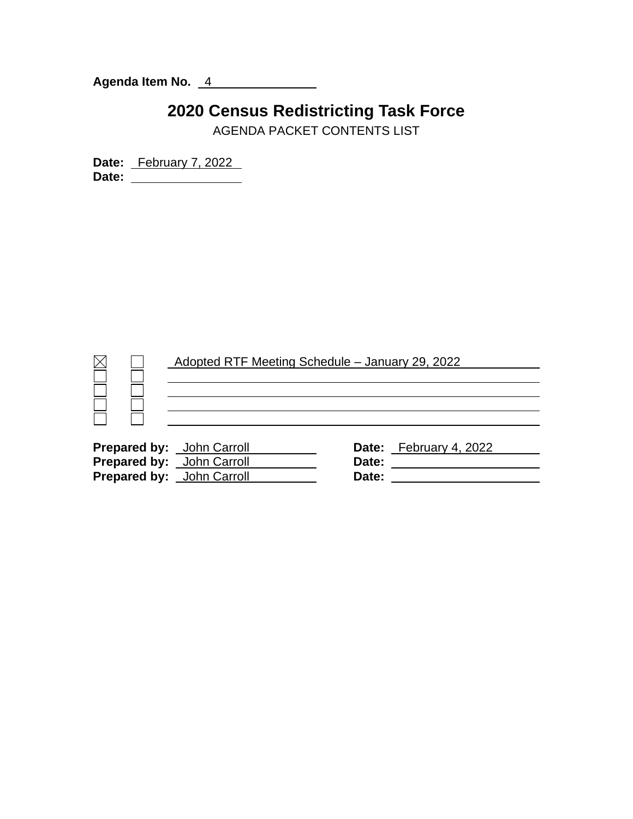**Agenda Item No.** 4

## **2020 Census Redistricting Task Force**

AGENDA PACKET CONTENTS LIST

**Date:** February 7, 2022 **Date:**

|                                  |  | Adopted RTF Meeting Schedule - January 29, 2022 |  |                       |  |  |
|----------------------------------|--|-------------------------------------------------|--|-----------------------|--|--|
|                                  |  |                                                 |  |                       |  |  |
|                                  |  |                                                 |  |                       |  |  |
| <b>Prepared by:</b> John Carroll |  |                                                 |  | Date: February 4 2022 |  |  |

| Date:                                                                                                    |
|----------------------------------------------------------------------------------------------------------|
| Date:                                                                                                    |
| Date:                                                                                                    |
| <b>Prepared by:</b> John Carroll<br><b>Prepared by:</b> John Carroll<br><b>Prepared by:</b> John Carroll |

**Prepare:** February 4, 2022